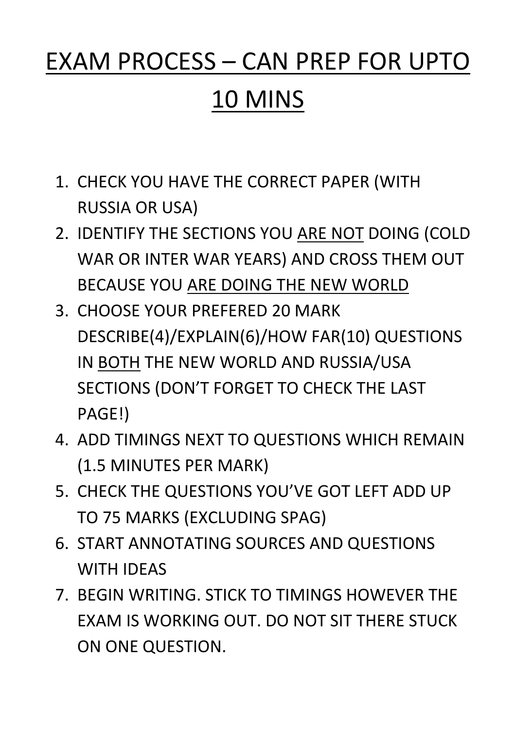# EXAM PROCESS – CAN PREP FOR UPTO

# 10 MINS

- 1. CHECK YOU HAVE THE CORRECT PAPER (WITH RUSSIA OR USA)
- 2. IDENTIFY THE SECTIONS YOU ARE NOT DOING (COLD WAR OR INTER WAR YEARS) AND CROSS THEM OUT BECAUSE YOU ARE DOING THE NEW WORLD
- 3. CHOOSE YOUR PREFERED 20 MARK DESCRIBE(4)/EXPLAIN(6)/HOW FAR(10) QUESTIONS IN BOTH THE NEW WORLD AND RUSSIA/USA SECTIONS (DON'T FORGET TO CHECK THE LAST PAGE!)
- 4. ADD TIMINGS NEXT TO QUESTIONS WHICH REMAIN (1.5 MINUTES PER MARK)
- 5. CHECK THE QUESTIONS YOU'VE GOT LEFT ADD UP TO 75 MARKS (EXCLUDING SPAG)
- 6. START ANNOTATING SOURCES AND QUESTIONS

#### WITH IDEAS

#### 7. BEGIN WRITING. STICK TO TIMINGS HOWEVER THE

#### EXAM IS WORKING OUT. DO NOT SIT THERE STUCK

ON ONE QUESTION.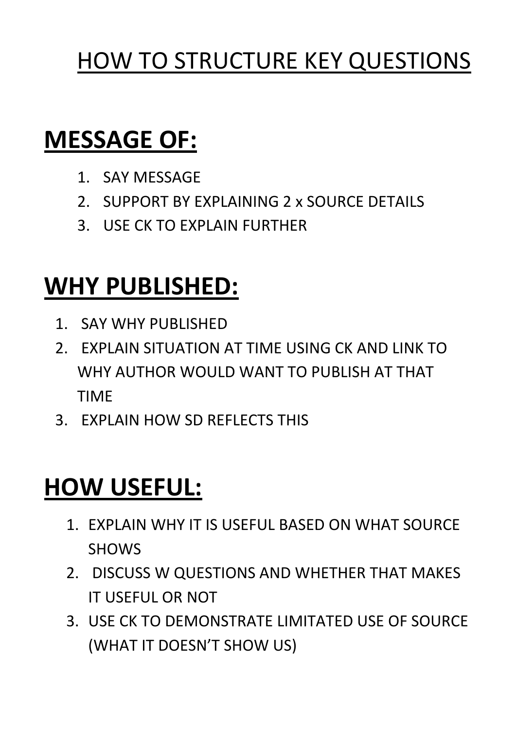# HOW TO STRUCTURE KEY QUESTIONS

# **MESSAGE OF:**

- 1. SAY MESSAGE
- 2. SUPPORT BY EXPLAINING 2 x SOURCE DETAILS
- 3. USE CK TO EXPLAIN FURTHER

### **WHY PUBLISHED:**

- 1. SAY WHY PUBLISHED
- 2. EXPLAIN SITUATION AT TIME USING CK AND LINK TO WHY AUTHOR WOULD WANT TO PUBLISH AT THAT TIME
- 3. EXPLAIN HOW SD REFLECTS THIS

# **HOW USEFUL:**

1. EXPLAIN WHY IT IS USEFUL BASED ON WHAT SOURCE SHOWS

### 2. DISCUSS W QUESTIONS AND WHETHER THAT MAKES IT USEFUL OR NOT

#### 3. USE CK TO DEMONSTRATE LIMITATED USE OF SOURCE

#### (WHAT IT DOESN'T SHOW US)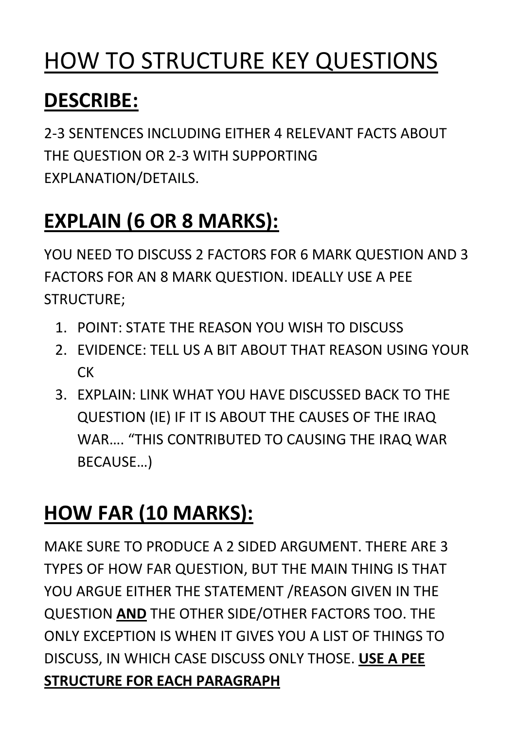# HOW TO STRUCTURE KEY QUESTIONS

### **DESCRIBE:**

2-3 SENTENCES INCLUDING EITHER 4 RELEVANT FACTS ABOUT THE QUESTION OR 2-3 WITH SUPPORTING EXPLANATION/DETAILS.

### **EXPLAIN (6 OR 8 MARKS):**

YOU NEED TO DISCUSS 2 FACTORS FOR 6 MARK QUESTION AND 3 FACTORS FOR AN 8 MARK QUESTION. IDEALLY USE A PEE STRUCTURE;

- 1. POINT: STATE THE REASON YOU WISH TO DISCUSS
- 2. EVIDENCE: TELL US A BIT ABOUT THAT REASON USING YOUR **CK**
- 3. EXPLAIN: LINK WHAT YOU HAVE DISCUSSED BACK TO THE QUESTION (IE) IF IT IS ABOUT THE CAUSES OF THE IRAQ WAR…. "THIS CONTRIBUTED TO CAUSING THE IRAQ WAR BECAUSE…)

# **HOW FAR (10 MARKS):**

MAKE SURE TO PRODUCE A 2 SIDED ARGUMENT. THERE ARE 3

#### TYPES OF HOW FAR QUESTION, BUT THE MAIN THING IS THAT

### QUESTION **AND** THE OTHER SIDE/OTHER FACTORS TOO. THE

#### YOU ARGUE EITHER THE STATEMENT / REASON GIVEN IN THE

#### ONLY EXCEPTION IS WHEN IT GIVES YOU A LIST OF THINGS TO DISCUSS, IN WHICH CASE DISCUSS ONLY THOSE. **USE A PEE**

#### **STRUCTURE FOR EACH PARAGRAPH**